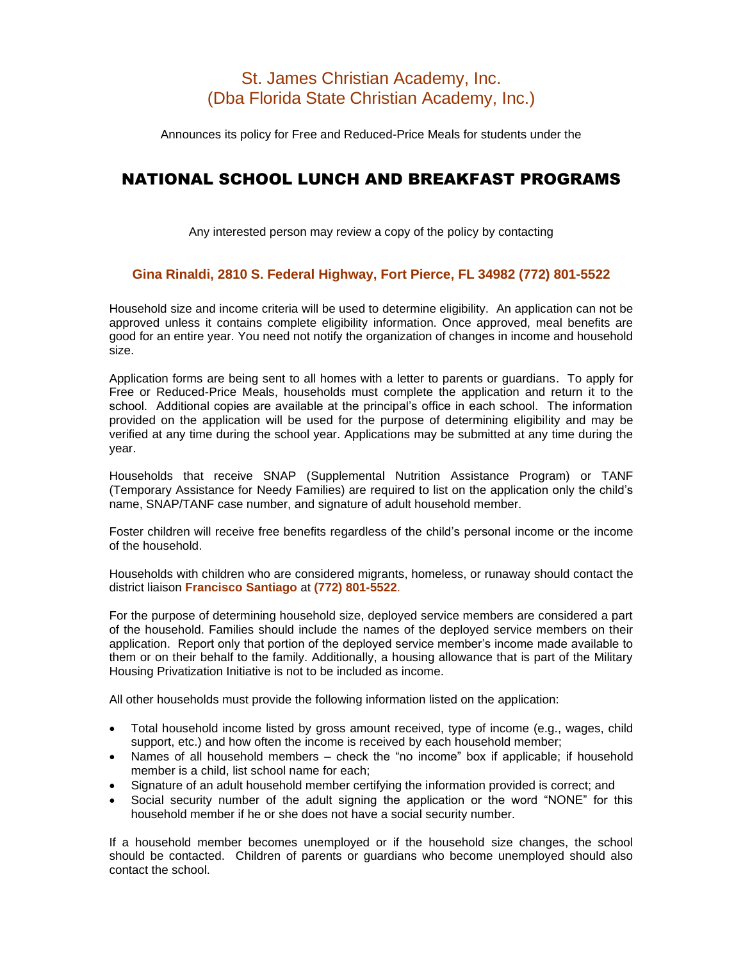# St. James Christian Academy, Inc. (Dba Florida State Christian Academy, Inc.)

Announces its policy for Free and Reduced-Price Meals for students under the

# NATIONAL SCHOOL LUNCH AND BREAKFAST PROGRAMS

Any interested person may review a copy of the policy by contacting

### **Gina Rinaldi, 2810 S. Federal Highway, Fort Pierce, FL 34982 (772) 801-5522**

Household size and income criteria will be used to determine eligibility. An application can not be approved unless it contains complete eligibility information. Once approved, meal benefits are good for an entire year. You need not notify the organization of changes in income and household size.

Application forms are being sent to all homes with a letter to parents or guardians. To apply for Free or Reduced-Price Meals, households must complete the application and return it to the school. Additional copies are available at the principal's office in each school. The information provided on the application will be used for the purpose of determining eligibility and may be verified at any time during the school year. Applications may be submitted at any time during the year.

Households that receive SNAP (Supplemental Nutrition Assistance Program) or TANF (Temporary Assistance for Needy Families) are required to list on the application only the child's name, SNAP/TANF case number, and signature of adult household member.

Foster children will receive free benefits regardless of the child's personal income or the income of the household.

Households with children who are considered migrants, homeless, or runaway should contact the district liaison **Francisco Santiago** at **(772) 801-5522**.

For the purpose of determining household size, deployed service members are considered a part of the household. Families should include the names of the deployed service members on their application. Report only that portion of the deployed service member's income made available to them or on their behalf to the family. Additionally, a housing allowance that is part of the Military Housing Privatization Initiative is not to be included as income.

All other households must provide the following information listed on the application:

- Total household income listed by gross amount received, type of income (e.g., wages, child support, etc.) and how often the income is received by each household member;
- Names of all household members check the "no income" box if applicable; if household member is a child, list school name for each;
- Signature of an adult household member certifying the information provided is correct; and
- Social security number of the adult signing the application or the word "NONE" for this household member if he or she does not have a social security number.

If a household member becomes unemployed or if the household size changes, the school should be contacted. Children of parents or guardians who become unemployed should also contact the school.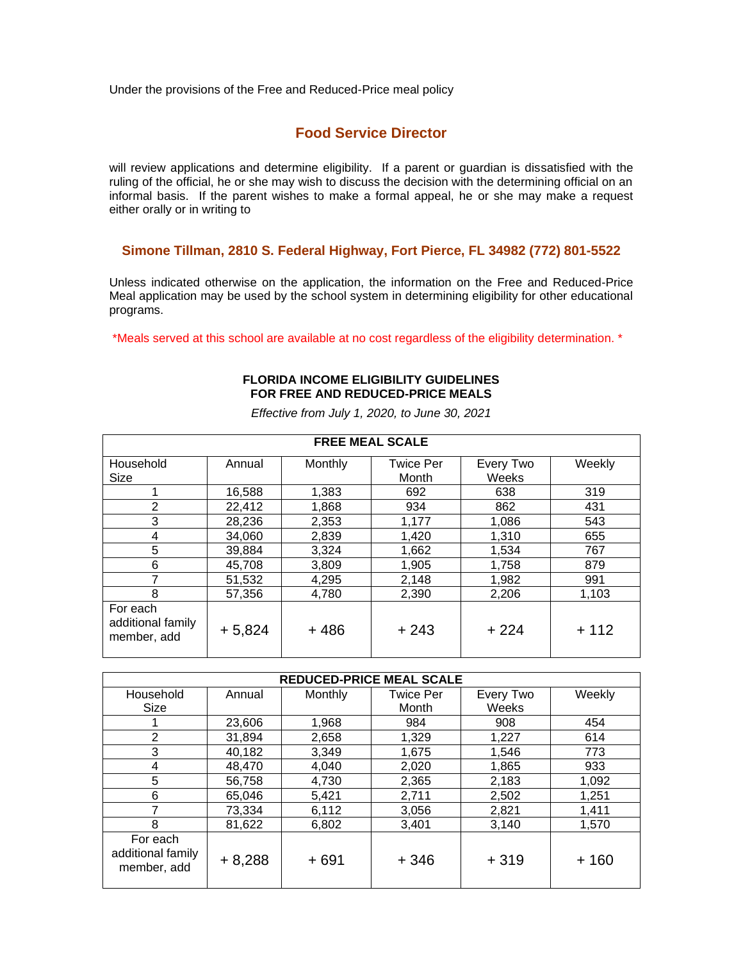Under the provisions of the Free and Reduced-Price meal policy

## **Food Service Director**

will review applications and determine eligibility. If a parent or guardian is dissatisfied with the ruling of the official, he or she may wish to discuss the decision with the determining official on an informal basis. If the parent wishes to make a formal appeal, he or she may make a request either orally or in writing to

### **Simone Tillman, 2810 S. Federal Highway, Fort Pierce, FL 34982 (772) 801-5522**

Unless indicated otherwise on the application, the information on the Free and Reduced-Price Meal application may be used by the school system in determining eligibility for other educational programs.

\*Meals served at this school are available at no cost regardless of the eligibility determination. \*

### **FLORIDA INCOME ELIGIBILITY GUIDELINES FOR FREE AND REDUCED-PRICE MEALS**

| <b>FREE MEAL SCALE</b>                       |          |         |                  |           |        |  |  |  |
|----------------------------------------------|----------|---------|------------------|-----------|--------|--|--|--|
| Household                                    | Annual   | Monthly | <b>Twice Per</b> | Every Two | Weekly |  |  |  |
| Size                                         |          |         | Month            | Weeks     |        |  |  |  |
|                                              | 16,588   | 1,383   | 692              | 638       | 319    |  |  |  |
| 2                                            | 22,412   | 1,868   | 934              | 862       | 431    |  |  |  |
| 3                                            | 28,236   | 2,353   | 1,177            | 1,086     | 543    |  |  |  |
| 4                                            | 34.060   | 2,839   | 1.420            | 1,310     | 655    |  |  |  |
| 5                                            | 39,884   | 3,324   | 1,662            | 1,534     | 767    |  |  |  |
| 6                                            | 45,708   | 3,809   | 1,905            | 1,758     | 879    |  |  |  |
| 7                                            | 51,532   | 4,295   | 2,148            | 1,982     | 991    |  |  |  |
| 8                                            | 57,356   | 4,780   | 2,390            | 2,206     | 1,103  |  |  |  |
| For each<br>additional family<br>member, add | $+5,824$ | $+486$  | $+243$           | $+224$    | $+112$ |  |  |  |

*Effective from July 1, 2020, to June 30, 2021*

| <b>REDUCED-PRICE MEAL SCALE</b>              |          |         |                  |           |        |  |  |  |
|----------------------------------------------|----------|---------|------------------|-----------|--------|--|--|--|
| Household                                    | Annual   | Monthly | <b>Twice Per</b> | Every Two | Weekly |  |  |  |
| Size                                         |          |         | Month            | Weeks     |        |  |  |  |
|                                              | 23,606   | 1,968   | 984              | 908       | 454    |  |  |  |
| 2                                            | 31,894   | 2,658   | 1,329            | 1,227     | 614    |  |  |  |
| 3                                            | 40,182   | 3,349   | 1,675            | 1,546     | 773    |  |  |  |
| 4                                            | 48,470   | 4,040   | 2,020            | 1,865     | 933    |  |  |  |
| 5                                            | 56,758   | 4,730   | 2,365            | 2,183     | 1,092  |  |  |  |
| 6                                            | 65.046   | 5,421   | 2,711            | 2,502     | 1,251  |  |  |  |
|                                              | 73,334   | 6,112   | 3,056            | 2,821     | 1,411  |  |  |  |
| 8                                            | 81,622   | 6,802   | 3,401            | 3,140     | 1,570  |  |  |  |
| For each<br>additional family<br>member, add | $+8,288$ | $+691$  | $+346$           | $+319$    | $+160$ |  |  |  |